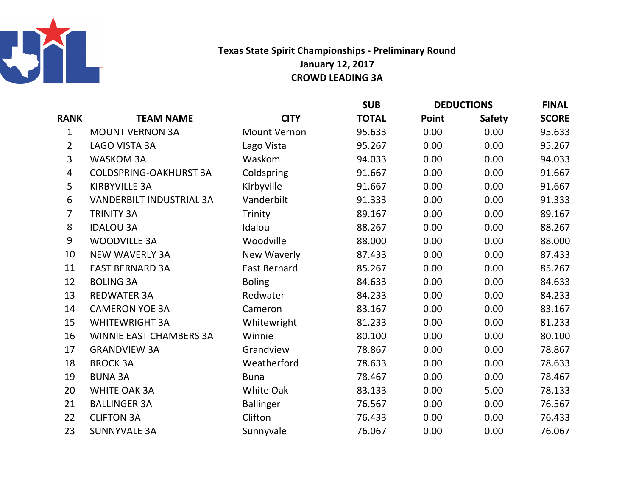

## Texas State Spirit Championships - Preliminary RoundJanuary 12, 2017CROWD LEADING 3A

|  |                |                                 |                     | <b>SUB</b>   | <b>DEDUCTIONS</b> |               | <b>FINAL</b> |
|--|----------------|---------------------------------|---------------------|--------------|-------------------|---------------|--------------|
|  | <b>RANK</b>    | <b>TEAM NAME</b>                | <b>CITY</b>         | <b>TOTAL</b> | Point             | <b>Safety</b> | <b>SCORE</b> |
|  | $\mathbf 1$    | <b>MOUNT VERNON 3A</b>          | <b>Mount Vernon</b> | 95.633       | 0.00              | 0.00          | 95.633       |
|  | $\overline{2}$ | LAGO VISTA 3A                   | Lago Vista          | 95.267       | 0.00              | 0.00          | 95.267       |
|  | 3              | <b>WASKOM 3A</b>                | Waskom              | 94.033       | 0.00              | 0.00          | 94.033       |
|  | 4              | <b>COLDSPRING-OAKHURST 3A</b>   | Coldspring          | 91.667       | 0.00              | 0.00          | 91.667       |
|  | 5              | <b>KIRBYVILLE 3A</b>            | Kirbyville          | 91.667       | 0.00              | 0.00          | 91.667       |
|  | 6              | <b>VANDERBILT INDUSTRIAL 3A</b> | Vanderbilt          | 91.333       | 0.00              | 0.00          | 91.333       |
|  | 7              | <b>TRINITY 3A</b>               | Trinity             | 89.167       | 0.00              | 0.00          | 89.167       |
|  | 8              | <b>IDALOU 3A</b>                | Idalou              | 88.267       | 0.00              | 0.00          | 88.267       |
|  | 9              | <b>WOODVILLE 3A</b>             | Woodville           | 88.000       | 0.00              | 0.00          | 88.000       |
|  | 10             | <b>NEW WAVERLY 3A</b>           | New Waverly         | 87.433       | 0.00              | 0.00          | 87.433       |
|  | 11             | <b>EAST BERNARD 3A</b>          | <b>East Bernard</b> | 85.267       | 0.00              | 0.00          | 85.267       |
|  | 12             | <b>BOLING 3A</b>                | <b>Boling</b>       | 84.633       | 0.00              | 0.00          | 84.633       |
|  | 13             | <b>REDWATER 3A</b>              | Redwater            | 84.233       | 0.00              | 0.00          | 84.233       |
|  | 14             | <b>CAMERON YOE 3A</b>           | Cameron             | 83.167       | 0.00              | 0.00          | 83.167       |
|  | 15             | <b>WHITEWRIGHT 3A</b>           | Whitewright         | 81.233       | 0.00              | 0.00          | 81.233       |
|  | 16             | <b>WINNIE EAST CHAMBERS 3A</b>  | Winnie              | 80.100       | 0.00              | 0.00          | 80.100       |
|  | 17             | <b>GRANDVIEW 3A</b>             | Grandview           | 78.867       | 0.00              | 0.00          | 78.867       |
|  | 18             | <b>BROCK 3A</b>                 | Weatherford         | 78.633       | 0.00              | 0.00          | 78.633       |
|  | 19             | <b>BUNA 3A</b>                  | <b>Buna</b>         | 78.467       | 0.00              | 0.00          | 78.467       |
|  | 20             | <b>WHITE OAK 3A</b>             | <b>White Oak</b>    | 83.133       | 0.00              | 5.00          | 78.133       |
|  | 21             | <b>BALLINGER 3A</b>             | <b>Ballinger</b>    | 76.567       | 0.00              | 0.00          | 76.567       |
|  | 22             | <b>CLIFTON 3A</b>               | Clifton             | 76.433       | 0.00              | 0.00          | 76.433       |
|  | 23             | <b>SUNNYVALE 3A</b>             | Sunnyvale           | 76.067       | 0.00              | 0.00          | 76.067       |
|  |                |                                 |                     |              |                   |               |              |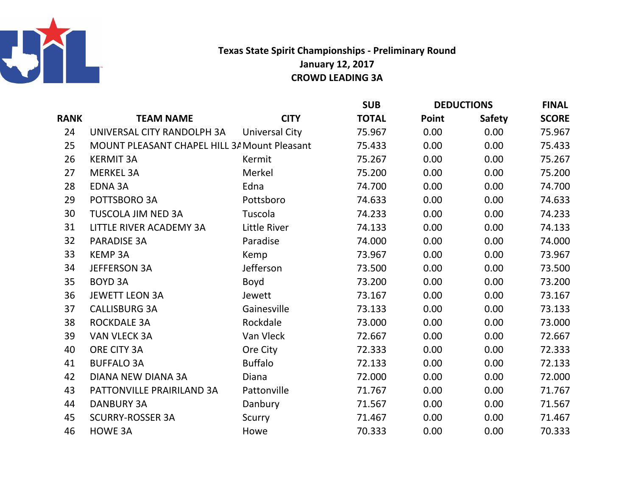

## Texas State Spirit Championships - Preliminary RoundJanuary 12, 2017CROWD LEADING 3A

|      |                                                     |                | <b>SUB</b>   | <b>DEDUCTIONS</b> |               | <b>FINAL</b> |
|------|-----------------------------------------------------|----------------|--------------|-------------------|---------------|--------------|
| RANK | <b>TEAM NAME</b>                                    | <b>CITY</b>    | <b>TOTAL</b> | Point             | <b>Safety</b> | <b>SCORE</b> |
| 24   | UNIVERSAL CITY RANDOLPH 3A                          | Universal City | 75.967       | 0.00              | 0.00          | 75.967       |
| 25   | <b>MOUNT PLEASANT CHAPEL HILL 3/ Mount Pleasant</b> |                | 75.433       | 0.00              | 0.00          | 75.433       |
| 26   | <b>KERMIT 3A</b>                                    | Kermit         | 75.267       | 0.00              | 0.00          | 75.267       |
| 27   | <b>MERKEL 3A</b>                                    | Merkel         | 75.200       | 0.00              | 0.00          | 75.200       |
| 28   | <b>EDNA 3A</b>                                      | Edna           | 74.700       | 0.00              | 0.00          | 74.700       |
| 29   | POTTSBORO 3A                                        | Pottsboro      | 74.633       | 0.00              | 0.00          | 74.633       |
| 30   | <b>TUSCOLA JIM NED 3A</b>                           | Tuscola        | 74.233       | 0.00              | 0.00          | 74.233       |
| 31   | LITTLE RIVER ACADEMY 3A                             | Little River   | 74.133       | 0.00              | 0.00          | 74.133       |
| 32   | <b>PARADISE 3A</b>                                  | Paradise       | 74.000       | 0.00              | 0.00          | 74.000       |
| 33   | <b>KEMP 3A</b>                                      | Kemp           | 73.967       | 0.00              | 0.00          | 73.967       |
| 34   | <b>JEFFERSON 3A</b>                                 | Jefferson      | 73.500       | 0.00              | 0.00          | 73.500       |
| 35   | <b>BOYD 3A</b>                                      | Boyd           | 73.200       | 0.00              | 0.00          | 73.200       |
| 36   | <b>JEWETT LEON 3A</b>                               | Jewett         | 73.167       | 0.00              | 0.00          | 73.167       |
| 37   | <b>CALLISBURG 3A</b>                                | Gainesville    | 73.133       | 0.00              | 0.00          | 73.133       |
| 38   | <b>ROCKDALE 3A</b>                                  | Rockdale       | 73.000       | 0.00              | 0.00          | 73.000       |
| 39   | <b>VAN VLECK 3A</b>                                 | Van Vleck      | 72.667       | 0.00              | 0.00          | 72.667       |
| 40   | ORE CITY 3A                                         | Ore City       | 72.333       | 0.00              | 0.00          | 72.333       |
| 41   | <b>BUFFALO 3A</b>                                   | <b>Buffalo</b> | 72.133       | 0.00              | 0.00          | 72.133       |
| 42   | <b>DIANA NEW DIANA 3A</b>                           | Diana          | 72.000       | 0.00              | 0.00          | 72.000       |
| 43   | PATTONVILLE PRAIRILAND 3A                           | Pattonville    | 71.767       | 0.00              | 0.00          | 71.767       |
| 44   | <b>DANBURY 3A</b>                                   | Danbury        | 71.567       | 0.00              | 0.00          | 71.567       |
| 45   | <b>SCURRY-ROSSER 3A</b>                             | Scurry         | 71.467       | 0.00              | 0.00          | 71.467       |
| 46   | <b>HOWE 3A</b>                                      | Howe           | 70.333       | 0.00              | 0.00          | 70.333       |
|      |                                                     |                |              |                   |               |              |